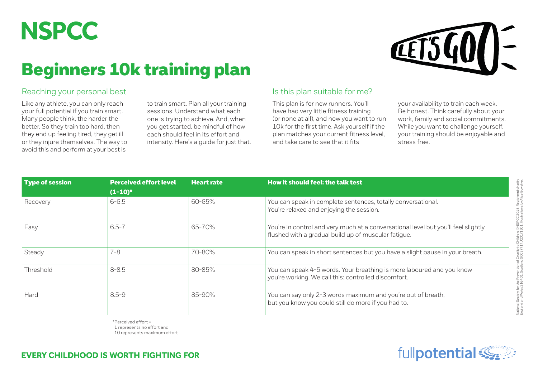

## Beginners 10k training plan



## Reaching your personal best

Like any athlete, you can only reach your full potential if you train smart. Many people think, the harder the better. So they train too hard, then they end up feeling tired, they get ill or they injure themselves. The way to avoid this and perform at your best is

to train smart. Plan all your training sessions. Understand what each one is trying to achieve. And, when you get started, be mindful of how each should feel in its effort and intensity. Here's a guide for just that.

## Is this plan suitable for me?

This plan is for new runners. You'll have had very little fitness training (or none at all), and now you want to run 10k for the first time. Ask yourself if the plan matches your current fitness level, and take care to see that it fits

your availability to train each week. Be honest. Think carefully about your work, family and social commitments. While you want to challenge yourself, your training should be enjoyable and stress free.

| Type of session | <b>Perceived effort level</b> | <b>Heart rate</b> | <b>How it should feel: the talk test</b>                                                                                                   |  |  |  |  |
|-----------------|-------------------------------|-------------------|--------------------------------------------------------------------------------------------------------------------------------------------|--|--|--|--|
|                 | $(1-10)^*$                    |                   |                                                                                                                                            |  |  |  |  |
| Recovery        | $6 - 6.5$                     | 60-65%            | You can speak in complete sentences, totally conversational.<br>You're relaxed and enjoying the session.                                   |  |  |  |  |
| Easy            | $6.5 - 7$                     | 65-70%            | You're in control and very much at a conversational level but you'll feel slightly<br>flushed with a gradual build up of muscular fatigue. |  |  |  |  |
| Steady          | $7 - 8$                       | 70-80%            | You can speak in short sentences but you have a slight pause in your breath.                                                               |  |  |  |  |
| Threshold       | $8 - 8.5$                     | 80-85%            | You can speak 4-5 words. Your breathing is more laboured and you know<br>you're working. We call this: controlled discomfort.              |  |  |  |  |
| Hard            | $8.5 - 9$                     | 85-90%            | You can say only 2-3 words maximum and you're out of breath,<br>but you know you could still do more if you had to.                        |  |  |  |  |

\*Perceived effort = 1 represents no effort and 10 represents maximum effort